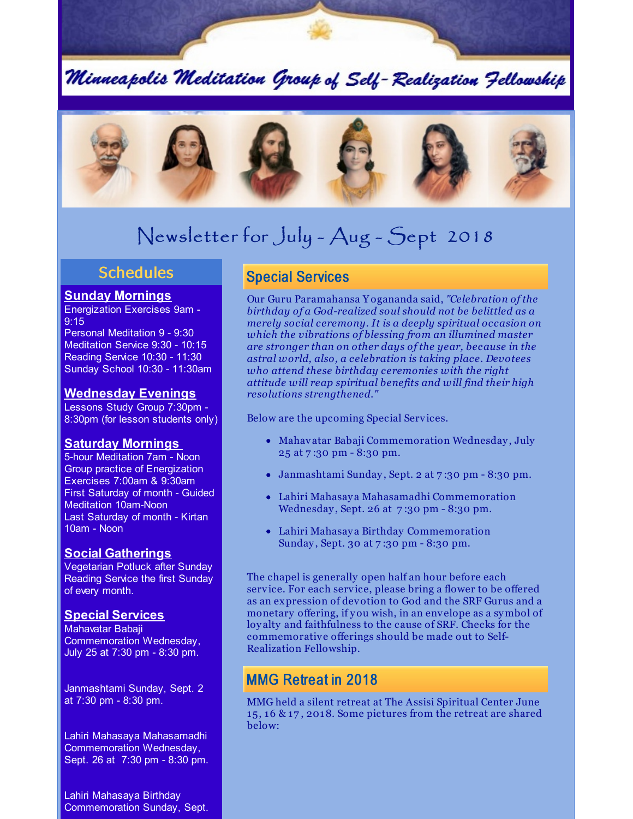Minneapolis Meditation Group of Self-Realization Fellowship



# Newsletter for July - Aug - Sept 2018

## **Schedules**

### **Sunday Mornings**

Energization Exercises 9am - 9:15

Personal Meditation 9 - 9:30 Meditation Service 9:30 - 10:15 Reading Service 10:30 - 11:30 Sunday School 10:30 - 11:30am

#### **Wednesday Evenings**

Lessons Study Group 7:30pm - 8:30pm (for lesson students only)

### **Saturday Mornings**

5-hour Meditation 7am - Noon Group practice of Energization Exercises 7:00am & 9:30am First Saturday of month - Guided Meditation 10am-Noon Last Saturday of month - Kirtan 10am - Noon

### **Social Gatherings**

Vegetarian Potluck after Sunday Reading Service the first Sunday of every month.

#### **Special Services**

Mahavatar Babaji Commemoration Wednesday, July 25 at 7:30 pm - 8:30 pm.

Janmashtami Sunday, Sept. 2 at 7:30 pm - 8:30 pm.

Lahiri Mahasaya Mahasamadhi Commemoration Wednesday, Sept. 26 at 7:30 pm - 8:30 pm.

Lahiri Mahasaya Birthday Commemoration Sunday, Sept.

# Special Services

Our Guru Paramahansa Y ogananda said, *"Celebration of the birthday of a God-realized soul should not be belittled as a merely social ceremony. It is a deeply spiritual occasion on which the vibrations of blessing from an illumined master are stronger than on other days of the year, because in the astral world, also, a celebration is taking place. Devotees who attend these birthday ceremonies with the right attitude will reap spiritual benefits and will find their high resolutions strengthened."*

Below are the upcoming Special Services.

- Mahavatar Babaji Commemoration Wednesday , July 25 at 7 :30 pm - 8:30 pm.
- Janmashtami Sunday , Sept. 2 at 7 :30 pm 8:30 pm.
- Lahiri Mahasay a Mahasamadhi Commemoration Wednesday, Sept. 26 at 7:30 pm - 8:30 pm.
- Lahiri Mahasay a Birthday Commemoration Sunday, Sept. 30 at 7:30 pm - 8:30 pm.

The chapel is generally open half an hour before each service. For each service, please bring a flower to be offered as an expression of devotion to God and the SRF Gurus and a monetary offering, if you wish, in an envelope as a symbol of loy alty and faithfulness to the cause of SRF. Checks for the commemorative offerings should be made out to Self-Realization Fellowship.

# MMG Retreat in 2018

MMG held a silent retreat at The Assisi Spiritual Center June 15, 16 & 17 , 2018. Some pictures from the retreat are shared below: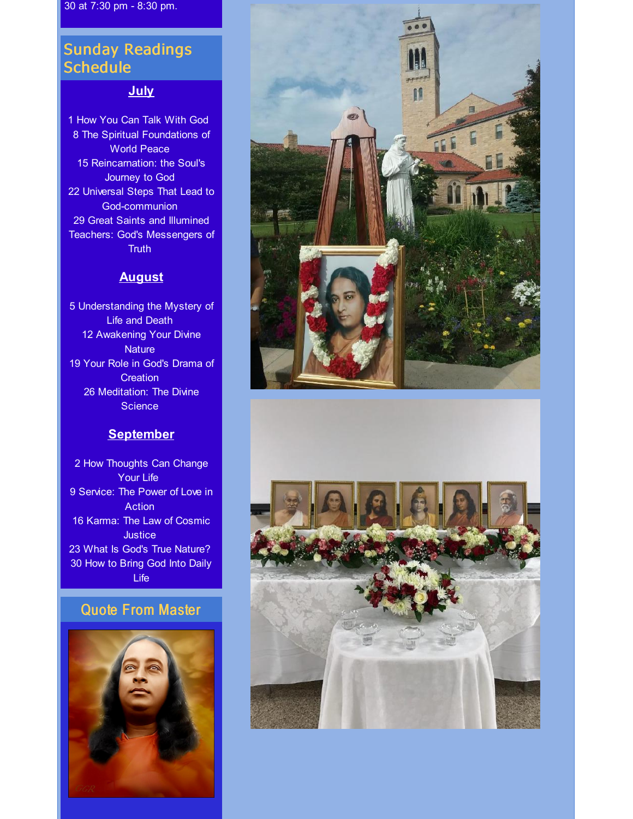30 at 7:30 pm - 8:30 pm.

# Sunday Readings **Schedule**

### **July**

1 How You Can Talk With God 8 The Spiritual Foundations of World Peace 15 Reincarnation: the Soul's Journey to God 22 Universal Steps That Lead to God-communion 29 Great Saints and Illumined Teachers: God's Messengers of **Truth** 

#### **August**

5 Understanding the Mystery of Life and Death 12 Awakening Your Divine **Nature** 19 Your Role in God's Drama of **Creation** 26 Meditation: The Divine **Science** 

### **September**

2 How Thoughts Can Change Your Life 9 Service: The Power of Love in **Action** 16 Karma: The Law of Cosmic **Justice** 23 What Is God's True Nature? 30 How to Bring God Into Daily Life

# Quote From Master





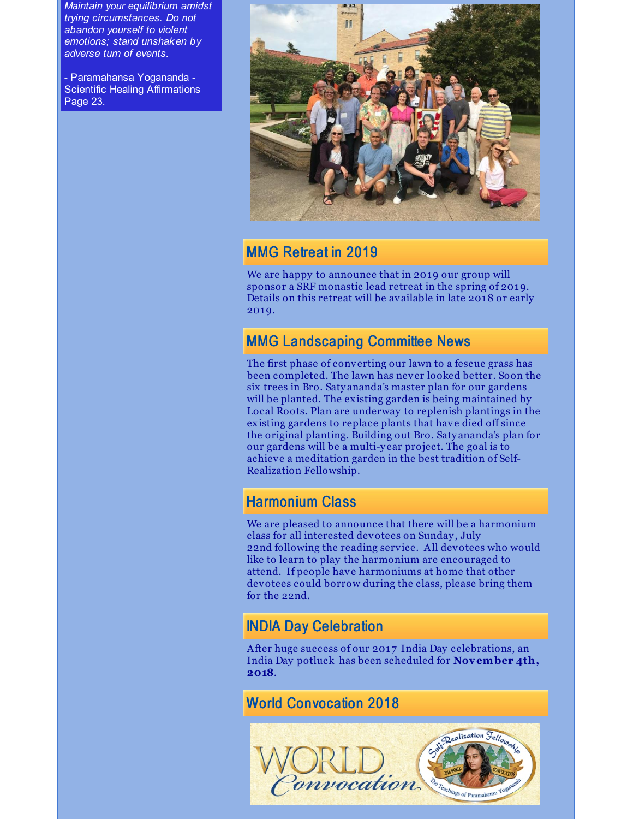*Maintain your equilibrium amidst trying circumstances. Do not abandon yourself to violent emotions; stand unshaken by adverse turn of events.*

- Paramahansa Yogananda - Scientific Healing Affirmations Page 23.



# MMG Retreat in 2019

We are happy to announce that in 2019 our group will sponsor a SRF monastic lead retreat in the spring of 2019. Details on this retreat will be available in late 2018 or early 2019.

# MMG Landscaping Committee News

The first phase of converting our lawn to a fescue grass has been completed. The lawn has never looked better. Soon the six trees in Bro. Saty ananda's master plan for our gardens will be planted. The existing garden is being maintained by Local Roots. Plan are underway to replenish plantings in the existing gardens to replace plants that have died off since the original planting. Building out Bro. Saty ananda's plan for our gardens will be a multi-y ear project. The goal is to achieve a meditation garden in the best tradition of Self-Realization Fellowship.

# Harmonium Class

We are pleased to announce that there will be a harmonium class for all interested devotees on Sunday , July 22nd following the reading service. All devotees who would like to learn to play the harmonium are encouraged to attend. If people have harmoniums at home that other devotees could borrow during the class, please bring them for the 22nd.

# INDIA Day Celebration

After huge success of our 2017 India Day celebrations, an India Day potluck has been scheduled for **November 4th, 2018**.

# World Convocation 2018

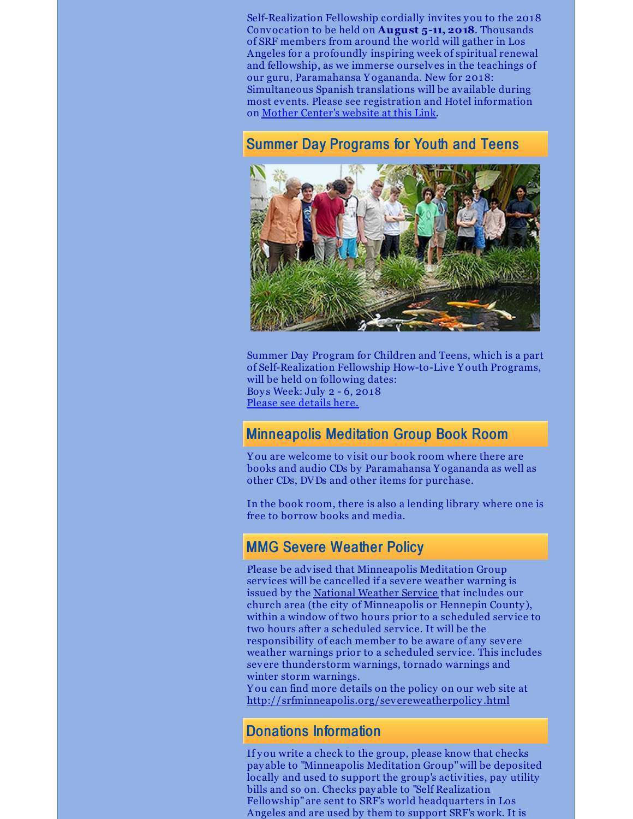Self-Realization Fellowship cordially invites you to the 2018 Convocation to be held on **August 5-11, 2018**. Thousands of SRF members from around the world will gather in Los Angeles for a profoundly inspiring week of spiritual renewal and fellowship, as we immerse ourselves in the teachings of our guru, Paramahansa Y ogananda. New for 2018: Simultaneous Spanish translations will be available during most events. Please see registration and Hotel information on Mother [Center's](http://www.yogananda-srf.org/SRF_World_Convocation.aspx) website at this Link.

# Summer Day Programs for Youth and Teens



Summer Day Program for Children and Teens, which is a part of Self-Realization Fellowship How-to-Live Y outh Programs, will be held on following dates: Boy s Week: July 2 - 6, 2018 Please see [details](http://www.yogananda-srf.org/programsforyouth/Summer_Day_Program.aspx) here.

## Minneapolis Meditation Group Book Room

Y ou are welcome to visit our book room where there are books and audio CDs by Paramahansa Y ogananda as well as other CDs, DVDs and other items for purchase.

In the book room, there is also a lending library where one is free to borrow books and media.

# MMG Severe Weather Policy

Please be advised that Minneapolis Meditation Group services will be cancelled if a severe weather warning is issued by the [National](http://forecast.weather.gov/MapClick.php?CityName=Minneapolis&state=MN&site=MPX&textField1=44.9618&textField2=-93.2668&e=0) Weather Service that includes our church area (the city of Minneapolis or Hennepin County ), within a window of two hours prior to a scheduled service to two hours after a scheduled service. It will be the responsibility of each member to be aware of any severe weather warnings prior to a scheduled service. This includes severe thunderstorm warnings, tornado warnings and winter storm warnings.

Y ou can find more details on the policy on our web site at [http://srfminneapolis.org/severeweatherpolicy](http://srfminneapolis.org/severeweatherpolicy.html) .html

## Donations Information

If you write a check to the group, please know that checks pay able to "Minneapolis Meditation Group"will be deposited locally and used to support the group's activities, pay utility bills and so on. Checks pay able to "Self Realization Fellowship" are sent to SRF's world headquarters in Los Angeles and are used by them to support SRF's work. It is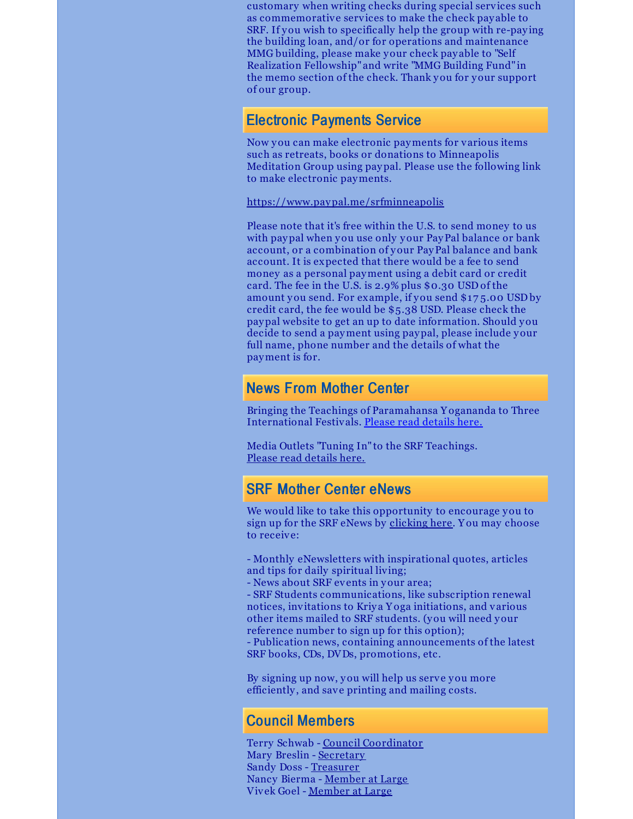customary when writing checks during special services such as commemorative services to make the check pay able to SRF. If you wish to specifically help the group with re-paying the building loan, and/or for operations and maintenance MMG building, please make your check pay able to "Self Realization Fellowship" and write "MMG Building Fund" in the memo section of the check. Thank you for your support of our group.

### Electronic Payments Service

Now you can make electronic payments for various items such as retreats, books or donations to Minneapolis Meditation Group using paypal. Please use the following link to make electronic payments.

<https://www.paypal.me/srfminneapolis>

Please note that it's free within the U.S. to send money to us with paypal when you use only your PayPal balance or bank account, or a combination of your PayPal balance and bank account. It is expected that there would be a fee to send money as a personal payment using a debit card or credit card. The fee in the U.S. is 2.9% plus \$0.30 USD of the amount you send. For example, if you send \$17 5.00 USD by credit card, the fee would be \$5.38 USD. Please check the paypal website to get an up to date information. Should you decide to send a payment using paypal, please include your full name, phone number and the details of what the payment is for.

# News From Mother Center

Bringing the Teachings of Paramahansa Y ogananda to Three International Festivals. Please read [details](http://www.yogananda-srf.org/NewsArchive/2018/Bringing_the_Teachings_of_Paramahansa_Yogananda_to_Three_International_Festivals.aspx#.WzguidhKjVo) here.

Media Outlets "Tuning In" to the SRF Teachings. Please read [details](http://www.yogananda-srf.org/NewsArchive/2018/Media_Outlets_%E2%80%9CTuning_In%E2%80%9D_to_the_SRF_Teachings.aspx#.WzguathKjVo) here.

## SRF Mother Center eNews

We would like to take this opportunity to encourage you to sign up for the SRF eNews by [clicking](https://members.yogananda-srf.org/MemberPortal/Account/RegisterEmail) here. Y ou may choose to receive:

- Monthly eNewsletters with inspirational quotes, articles and tips for daily spiritual living;

- News about SRF events in your area;

- SRF Students communications, like subscription renewal notices, invitations to Kriy a Y oga initiations, and various other items mailed to SRF students. (you will need your reference number to sign up for this option);

- Publication news, containing announcements of the latest SRF books, CDs, DVDs, promotions, etc.

By signing up now, you will help us serve you more efficiently , and save printing and mailing costs.

## Council Members

Terry Schwab - Council [Coordinator](mailto:coordinator@srfminneapolis.org) Mary Breslin - [Secretary](mailto:secretary@srfminneapolis.com) Sandy Doss - [Treasurer](mailto:treasurer@srfminneapolis.org) Nancy Bierma - [Member](mailto:at.large2@srfminneapolis.org) at Large Vivek Goel - [Member](mailto:at.large1@srfminneapolis.org) at Large